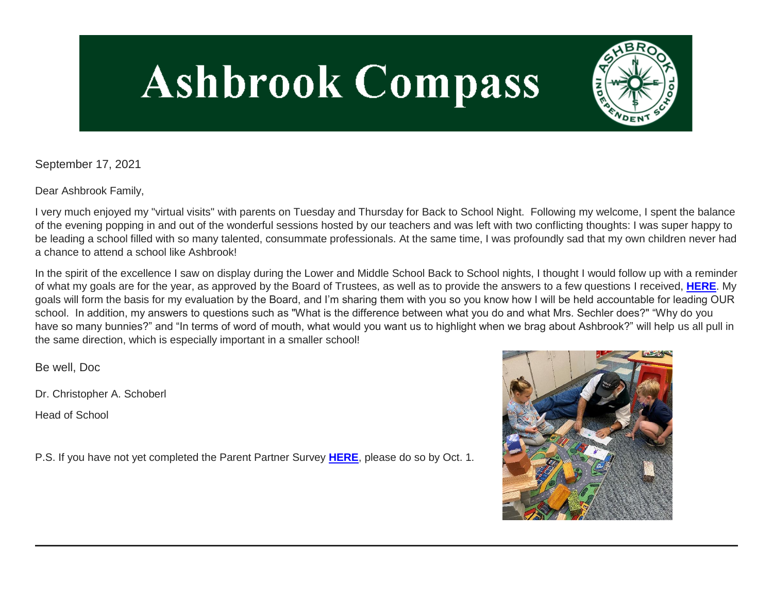# **Ashbrook Compass**



September 17, 2021

Dear Ashbrook Family,

I very much enjoyed my "virtual visits" with parents on Tuesday and Thursday for Back to School Night. Following my welcome, I spent the balance of the evening popping in and out of the wonderful sessions hosted by our teachers and was left with two conflicting thoughts: I was super happy to be leading a school filled with so many talented, consummate professionals. At the same time, I was profoundly sad that my own children never had a chance to attend a school like Ashbrook!

In the spirit of the excellence I saw on display during the Lower and Middle School Back to School nights, I thought I would follow up with a reminder of what my goals are for the year, as approved by the Board of Trustees, as well as to provide the answers to a few questions I received, **[HERE](http://link.mystudentsprogress.com/ls/click?upn=VpBe6Z9t6RkEC4qAoQCerkRqVNRJCi4SE2bZPjoSvlz-2FebgKSEGTupezGGQKoyVw7pi3RmAjO0A8iIEMexRGvqJ2-2Bb7t8DdmZuIaf9v9yCobqOJ4B-2BH-2BcW6OuaoexMCey7E8QZwpyCtdL1-2FTtDcHzw-3D-3DwrWJ_1PndbFfBoQGSZbxwXHHEexw3B2F0fG-2BUmuXm6a-2BX-2BzvJlzb8z62tn2xd-2BTpgN0FuJwR66FdVOuXqaY-2FUqEA15GjxxLcxBePfoE9B952vDbu2c-2Bhu-2BlN1XbBWoT9oNd0VbDROpOBo4nMTrRV5wOQKbBRBQAQHejsear81BduHHU6vwwnNjqNyhGXl08SwLa46K1-2F8eNWK5WYYtwSFICjW5dnOndAr7AJdLEidLdaZOuAOXIFMvlTsQbncqm04mNApkaCq6sFYxahnqPQSdojzIsCxwyjR23wJxpMo9-2FkT5j48e7ama3ZhXNg02TGiuRGFn4V6OPr7Eta7sJZaDrOrfwe5jexyF0WGhnx0sXXF76JYUSMkhI2ExHfReaoH5WOBLZ7nhfq1NNBX1BsfX2tJzn5ukcXJy4EASS0PtqggOPBUyUbB3FIXLgc-2B0GeNe57o)**. My goals will form the basis for my evaluation by the Board, and I'm sharing them with you so you know how I will be held accountable for leading OUR school. In addition, my answers to questions such as "What is the difference between what you do and what Mrs. Sechler does?" "Why do you have so many bunnies?" and "In terms of word of mouth, what would you want us to highlight when we brag about Ashbrook?" will help us all pull in the same direction, which is especially important in a smaller school!

Be well, Doc

Dr. Christopher A. Schoberl

Head of School

P.S. If you have not yet completed the Parent Partner Survey **[HERE](http://link.mystudentsprogress.com/ls/click?upn=VpBe6Z9t6RkEC4qAoQCeri-2FFFh7llDqKppeMq4GAyjRWQxckQw26M-2Bv6Io9sYjjzu11I-2FIHnrxqd6TMWI6gnx-2BiEK7Npr-2BpJ3so6M0GUxrRTpwZZYMhJ-2FmMHGccGwQxRDvsZHECICQBoGuYXr6ayZQ-3D-3Dq9hb_1PndbFfBoQGSZbxwXHHEexw3B2F0fG-2BUmuXm6a-2BX-2BzvJlzb8z62tn2xd-2BTpgN0FuJwR66FdVOuXqaY-2FUqEA15D1gSZtIg-2Fk80NGinu0kGyVfLQlzC3bJ6xL0SEgjivwojzbU0OXVhqGW1eMTH69iHjfTCZpj-2BU9DbhCgsVGw8LjNFa4PNi-2FatU7IFUScoz9GDtpIsCesWD0LJQsIa8GQ0tDRGGso8rFZeH82Brvnwc7y74asCrZxhesTZOlPtEFabcbFzESWl3CJ-2B6P-2FBhatXINeTZa01kvy6s25KoMFFwe-2B2jrkNibClH7ufFyXAGf4PpJPVXlkhU0UgFCM9HugArabeP3fD-2Fy00qyRyQfnhpU3R1uHbh3OYERmF0VyDvPQOmACTvYpwPH-2BwY-2FgCPJgRxef7CkyOeny5vVUJleKqh8tEYmva3AEtskm6KMby8H9)**, please do so by Oct. 1.

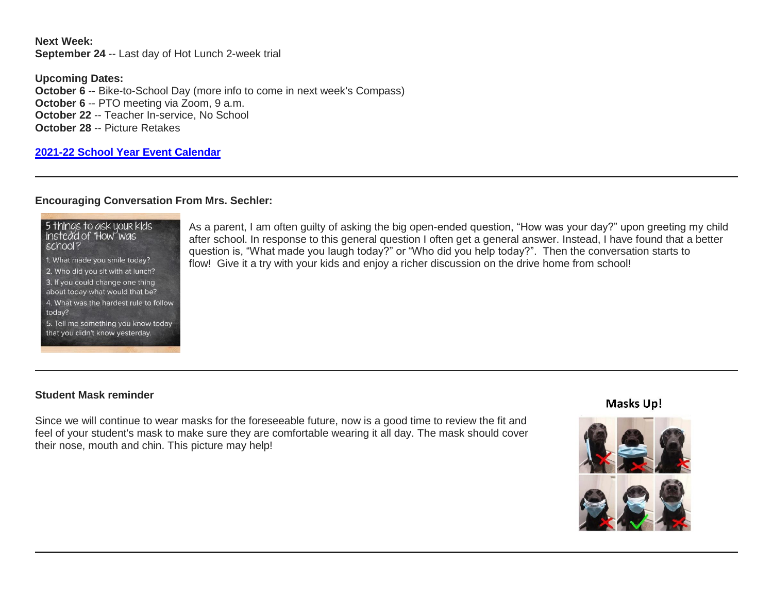**Next Week: September 24** -- Last day of Hot Lunch 2-week trial

**Upcoming Dates: October 6** -- Bike-to-School Day (more info to come in next week's Compass) **October 6 -- PTO meeting via Zoom, 9 a.m. October 22** -- Teacher In-service, No School **October 28** -- Picture Retakes

# **[2021-22 School Year Event Calendar](http://link.mystudentsprogress.com/ls/click?upn=t3AI3kjK1Pyk9qPfHnOahelBVVSIlRAa3GeSLMbkINmgHr3guxrPuqfp-2Bh-2FJW4nCZ4g8Gi3XkGXC-2FKATZbsSvlLtGaxynoxi8rg7wuoRjJ9ogb5HbX999Eip-2FZE6wLdBt-2FZXHJBS6zquMLtzN9wyAf-2BwWQPV3rI3lDDknuQ1JHMBzJ8gUYT-2F7YzNEwZY9IsL01sHprQ-2FIDOi-2FxvxQxcWetx3uPiVsOO-2BTqPctwW7ytf9RkxC1x3UjTIEBtRaqxRocHrr-2BmciBR4-2BJ-2F9FRK9RIbCVijz3zpNIIcd4PIsUMddSSVNBf6Erlmv-2BHBcLMpY-2BXATDQ1ruaOReFDZmWYSBv8U-2FG-2FKOr0yEkAwqSdMzdcQ3gq4Z79RZNOTZP4nGap5-2B4nzc4nIf29OyD3NhvJHQaLkc85sE-2FfYbPaGyyk6H2FOzJRYThJmT37US6LpTrGNlh9HxVTLYe1LpjcNTBXNJsSKlp-2BAa-2BVuGTdE8v33fTt9-2BgR-2BE9tSlDPzhNHxWPZ2RZ535aLRz3SoCCiPZR3EABfh4FMKDRC4z2q-2Bvjvbtim7SOD4kDD2r5XYSDBe4a3bcI5fNds6iRAQWmj3uDnwn3-2B3tKuGNT1JKaRpJXKTgGLzWZLAnNUo4fvdQC77H83vaK-2BM8PCeLuljt-2FRAsnx0cP-2FGdRouESOyMOB5ORkT-2BH-2Bkw4hRRiiTCpe61BsZqpA-2BuVoKv_1PndbFfBoQGSZbxwXHHEexw3B2F0fG-2BUmuXm6a-2BX-2BzvJlzb8z62tn2xd-2BTpgN0FuJwR66FdVOuXqaY-2FUqEA15KyxyulGH6gaUXAORDZ6AmjVdS-2Fs212iK5igmNDNq-2BnnxOBa85Gk61IMg0ZG-2FC93C7lU5rRCqwPtcmefgh7JdSZi2dtWwsoa4zk6svCsrGlKWQF6-2Bg6W4002EZpl-2BAgqv8Tn61Jc1e8aMT-2B9pijDLhoq29RchG5sxMGIw7klj5fwLQxDVnVJ5DQ6dkxhO11xv-2ByCNQ-2BkN6S-2FUNbAf6vSgImA8zn2sYJYE-2BXnoLk7pTQc4La7r0xpH8EFW2o43ie-2FqyX1pJ8giVoPfWABe6kTkLU4YGhfs3UXphDQmlbxUAhwMnh-2Bxd4Lq5MmkyPMExbBL0-2BIjQbMk6VvWGGOBxRU7VekNpekGz8Y4-2F9jvPoY7nO7)**

### **Encouraging Conversation From Mrs. Sechler:**

| 5 things to ask your kids<br>instead of "How" was<br>school"?          |
|------------------------------------------------------------------------|
| 1. What made you smile today?                                          |
| 2. Who did you sit with at lunch?                                      |
| 3. If you could change one thing<br>about today what would that be?    |
| 4. What was the hardest rule to follow<br>today?                       |
| 5. Tell me something you know today<br>that you didn't know yesterday. |

As a parent, I am often guilty of asking the big open-ended question, "How was your day?" upon greeting my child after school. In response to this general question I often get a general answer. Instead, I have found that a better question is, "What made you laugh today?" or "Who did you help today?". Then the conversation starts to flow! Give it a try with your kids and enjoy a richer discussion on the drive home from school!

# **Student Mask reminder**

Since we will continue to wear masks for the foreseeable future, now is a good time to review the fit and feel of your student's mask to make sure they are comfortable wearing it all day. The mask should cover their nose, mouth and chin. This picture may help!

# **Masks Up!**

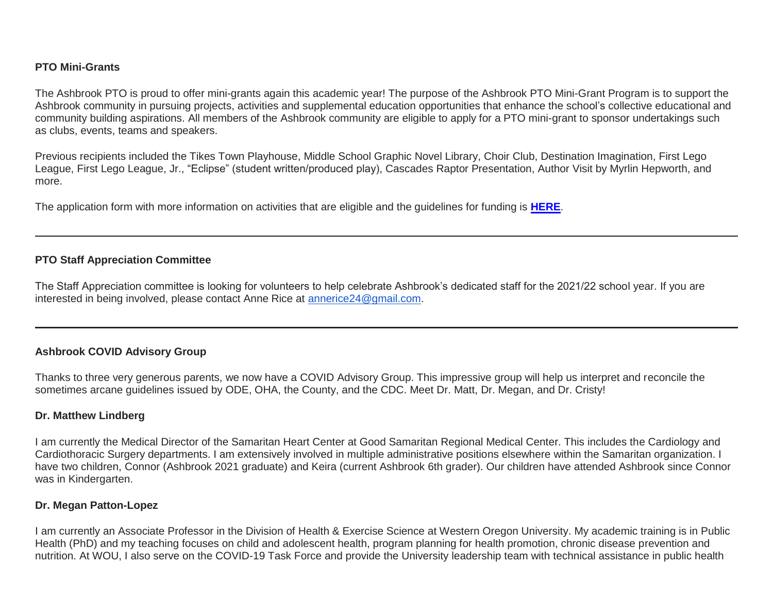### **PTO Mini-Grants**

The Ashbrook PTO is proud to offer mini-grants again this academic year! The purpose of the Ashbrook PTO Mini-Grant Program is to support the Ashbrook community in pursuing projects, activities and supplemental education opportunities that enhance the school's collective educational and community building aspirations. All members of the Ashbrook community are eligible to apply for a PTO mini-grant to sponsor undertakings such as clubs, events, teams and speakers.

Previous recipients included the Tikes Town Playhouse, Middle School Graphic Novel Library, Choir Club, Destination Imagination, First Lego League, First Lego League, Jr., "Eclipse" (student written/produced play), Cascades Raptor Presentation, Author Visit by Myrlin Hepworth, and more.

The application form with more information on activities that are eligible and the guidelines for funding is **[HERE](http://link.mystudentsprogress.com/ls/click?upn=n7jYKe39nC4PrVAw2BzaOolgU5XUleaJ61qfvNJxTW3uoi8RFzNYUfSc1qXdqajA34djZWrxIBJBxzp2whbybvqIYp3dDOkCDgKesziBdClenDsTc-2FUGtZuJNxIh5RAijA4c-2FxLDZKxjmas3d9mUCg2OGUEiTYCsalquiRQy9vw-3DnQyh_1PndbFfBoQGSZbxwXHHEexw3B2F0fG-2BUmuXm6a-2BX-2BzvJlzb8z62tn2xd-2BTpgN0FuJwR66FdVOuXqaY-2FUqEA15BJqp6QuSTbX6fB4smyhdyRYheUMHj3F-2B5XfnW0itbt0eZOT7zWX0G50lcmDaDYPCcmbxffvfcsXglAQCnDlFXD-2B9wxU2JfXtnaK07By0hg6xLdNkkbFyqNSlJbjroj55YQ0498x2hRrALMG2drhIsBiOXeMBbDG-2FruDYnvwZH0WhabNi8FKNuHJqcqzm0sh-2FtZyMZikuOg7XaHYyjHDPbCkvj-2BcOtY5YxBTC8dzdFhVN94iq1zqUF8u-2B4FWwFkgzCrDIXIgZdGpk0L6qIkfF7DrQ5ElpN7vJOoZvcszxRKm05Hx3-2F9mSeVN058spoxF94B6Eph7s2ihbQtipypRxJa-2FHP-2FPecTCSmpzTJywq-2Bj3)**.

# **PTO Staff Appreciation Committee**

The Staff Appreciation committee is looking for volunteers to help celebrate Ashbrook's dedicated staff for the 2021/22 school year. If you are interested in being involved, please contact Anne Rice at [annerice24@gmail.com.](mailto:annerice24@gmail.com)

# **Ashbrook COVID Advisory Group**

Thanks to three very generous parents, we now have a COVID Advisory Group. This impressive group will help us interpret and reconcile the sometimes arcane guidelines issued by ODE, OHA, the County, and the CDC. Meet Dr. Matt, Dr. Megan, and Dr. Cristy!

#### **Dr. Matthew Lindberg**

I am currently the Medical Director of the Samaritan Heart Center at Good Samaritan Regional Medical Center. This includes the Cardiology and Cardiothoracic Surgery departments. I am extensively involved in multiple administrative positions elsewhere within the Samaritan organization. I have two children, Connor (Ashbrook 2021 graduate) and Keira (current Ashbrook 6th grader). Our children have attended Ashbrook since Connor was in Kindergarten.

#### **Dr. Megan Patton-Lopez**

I am currently an Associate Professor in the Division of Health & Exercise Science at Western Oregon University. My academic training is in Public Health (PhD) and my teaching focuses on child and adolescent health, program planning for health promotion, chronic disease prevention and nutrition. At WOU, I also serve on the COVID-19 Task Force and provide the University leadership team with technical assistance in public health